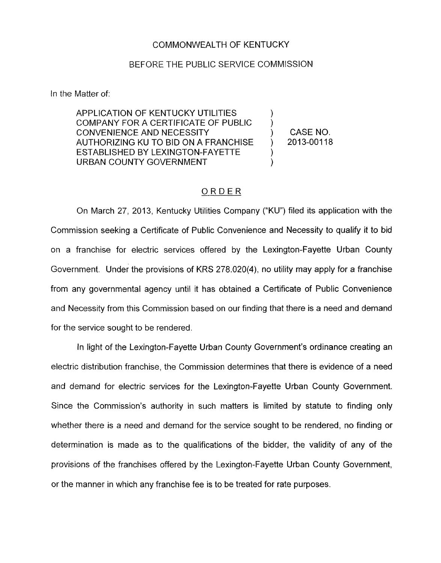## COMMONWEALTH OF KENTUCKY

## BEFORE THE PUBLIC SERVICE COMMISSION

In the Matter of:

**APPLICATION OF KENTUCKY UTILITIES** COMPANY FOR A CERTIFICATE OF PUBLIC CONVENIENCE AND NECESSITY AUTHORIZING KU TO BID ON A FRANCHISE URBAN COUNTY GOVERNMENT ESTABLISHED BY LEXINGTON-FAYETTE

CASE NO. ) 2013-00118

) )

> ) )

## ORDER

On March 27, 2013, Kentucky Utilities Company ("KU") filed its application with the Commission seeking a Certificate of Public Convenience and Necessity to qualify it to bid on a franchise for electric services offered by the Lexington-Fayette Urban County Government. Under the provisions of KRS 278.020(4), no utility may apply for a franchise from any governmental agency until it has obtained a Certificate of Public Convenience and Necessity from this Commission based on our finding that there is a need and demand for the service sought to be rendered.

In light of the Lexington-Fayette Urban County Government's ordinance creating an electric distribution franchise, the Commission determines that there is evidence of a need and demand for electric services for the Lexington-Fayette Urban County Government. Since the Commission's authority in such matters is limited by statute to finding only whether there is a need and demand for the service sought to be rendered, no finding or determination is made as to the qualifications of the bidder, the validity of any of the provisions of the franchises offered by the Lexington-Fayette Urban County Government, or the manner in which any franchise fee is to be treated for rate purposes.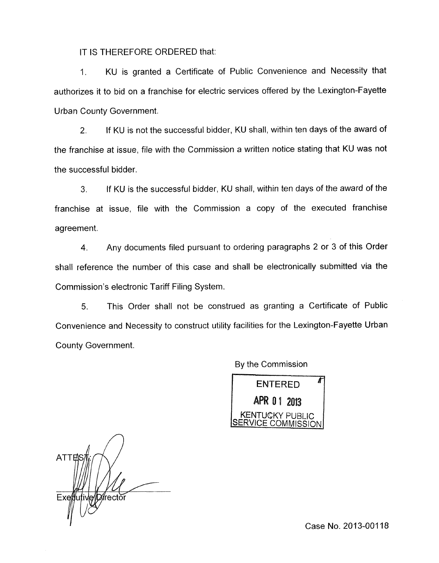IT IS THEREFORE ORDERED that:

1. KU is granted a Certificate of Public Convenience and Necessity that authorizes it to bid on a franchise for electric services offered by the Lexington-Fayette Urban County Government.

2. If KU is not the successful bidder, KU shall, within ten days of the award of the franchise at issue, file with the Commission a written notice stating that KU was not the successful bidder.

**3.** If KU is the successful bidder, KU shall, within ten days of the award of the franchise at issue, file with the Commission a copy of the executed franchise agreement.

**4.** Any documents filed pursuant to ordering paragraphs 2 or 3 of this Order shall reference the number of this case and shall be electronically submitted via the Commission's electronic Tariff Filing System.

*5.* This Order shall not be construed as granting a Certificate of Public Convenience and Necessity to construct utility facilities for the Lexington-Fayette Urban County Government.

By the Commission

Å **ENTERED** APR 01 2013<br>Kentucky public OMMISSION

**ATTEN** ″rectŏr Exett

Case No. 2013-001 18